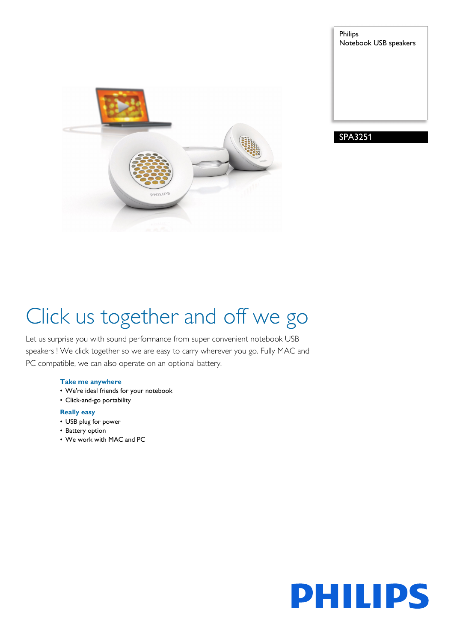

Philips Notebook USB speakers

SPA3251

# Click us together and off we go

Let us surprise you with sound performance from super convenient notebook USB speakers ! We click together so we are easy to carry wherever you go. Fully MAC and PC compatible, we can also operate on an optional battery.

#### **Take me anywhere**

- We're ideal friends for your notebook
- Click-and-go portability

### **Really easy**

- USB plug for power
- Battery option
- We work with MAC and PC